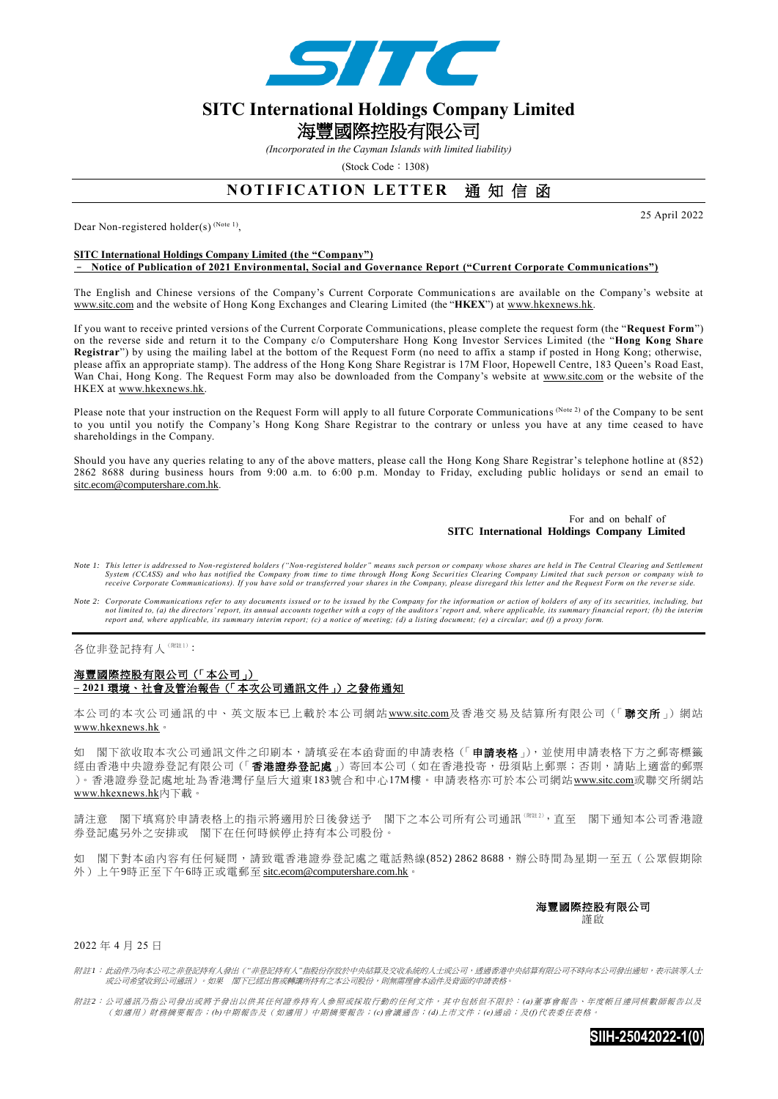

# **SITC International Holdings Company Limited**  海豐國際控股有限公司

*(Incorporated in the Cayman Islands with limited liability)* 

 $(Stock Code : 1308)$ 

## **NOTIFICATION LETTER 通知信函**

Dear Non-registered holder(s)<sup>(Note 1)</sup>,

25 April 2022

#### **SITC International Holdings Company Limited (the "Company")** – **Notice of Publication of 2021 Environmental, Social and Governance Report ("Current Corporate Communications")**

The English and Chinese versions of the Company's Current Corporate Communication s are available on the Company's website at www.sitc.com and the website of Hong Kong Exchanges and Clearing Limited (the "**HKEX**") at [www.hkexnews.hk.](http://www.hkexnews.hk/)

If you want to receive printed versions of the Current Corporate Communications, please complete the request form (the "**Request Form**") on the reverse side and return it to the Company c/o Computershare Hong Kong Investor Services Limited (the "**Hong Kong Share Registrar**") by using the mailing label at the bottom of the Request Form (no need to affix a stamp if posted in Hong Kong; otherwise, please affix an appropriate stamp). The address of the Hong Kong Share Registrar is 17M Floor, Hopewell Centre, 183 Queen's Road East, Wan Chai, Hong Kong. The Request Form may also be downloaded from the Company's website at www.sitc.com or the website of the HKEX at [www.hkexnews.hk.](http://www.hkexnews.hk/)

Please note that your instruction on the Request Form will apply to all future Corporate Communications (Note 2) of the Company to be sent to you until you notify the Company's Hong Kong Share Registrar to the contrary or unless you have at any time ceased to have shareholdings in the Company.

Should you have any queries relating to any of the above matters, please call the Hong Kong Share Registrar's telephone hotline at (852) 2862 8688 during business hours from 9:00 a.m. to 6:00 p.m. Monday to Friday, excluding public holidays or send an email to [sitc.ecom@computershare.com.hk.](mailto:sitc.ecom@computershare.com.hk)

#### For and on behalf of **SITC International Holdings Company Limited**

- *Note 1: This letter is addressed to Non-registered holders ("Non-registered holder" means such person or company whose shares are held in The Central Clearing and Settlement*  System (CCASS) and who has notified the Company from time to time through Hong Kong Securities Clearing Company Limited that such person or company wish to<br>receive Corporate Communications). If you have sold or transferred
- *Note 2: Corporate Communications refer to any documents issued or to be issued by the Company for the information or action of holders of any of its securities, including, but*  not limited to, (a) the directors' report, its annual accounts together with a copy of the auditors' report and, where applicable, its summary financial report; (b) the interim<br>report and, where applicable, its summary int

各位非登記持有人(附註1):

### 海豐國際控股有限公司(「本公司」) **– 2021** 環境、社會及管治報告(「本次公司通訊文件」)之發佈通知

本公司的本次公司通訊的中、英文版本已上載於本公司網站 www.sitc.com及香港交易及結算所有限公司(「聯交所」)網站 [www.hkexnews.hk](http://www.hkexnews.hk/)。

如 閣下欲收取本次公司通訊文件之印刷本,請填妥在本函背面的申請表格(「申請表格」),並使用申請表格下方之郵寄標籤 經由香港中央證券登記有限公司(「香港證券登記處」)寄回本公司(如在香港投寄,毋須貼上郵票;否則,請貼上適當的郵票 )。香港證券登記處地址為香港灣仔皇后大道東183號合和中心17M樓。申請表格亦可於本公司網站www.sitc.com或聯交所網站 [www.hkexnews.hk](http://www.hkexnews.hk/)內下載。

請注意 閣下填寫於申請表格上的指示將適用於日後發送予 閣下之本公司所有公司通訊(附註 <sup>2</sup>),直至 閣下通知本公司香港證 券登記處另外之安排或 閣下在任何時候停止持有本公司股份。

如 閣下對本函內容有任何疑問,請致電香港證券登記處之電話熱線(852) 2862 8688,辦公時間為星期一至五(公眾假期除 外)上午9時正至下午6時正或電郵至 [sitc.ecom@computershare.com.hk](mailto:sitc.ecom@computershare.com.hk)。

海豐國際控股有限公司

謹啟

2022 年 4 月 25 日

附註*1*: 此函件乃向本公司之非登記持有人發出(*"*非登記持有人*"*指股份存放於中央結算及交收系統的人士或公司,透過香港中央結算有限公司不時向本公司發出通知,表示該等人士 或公司希望收到公司通訊)。如果 閣下已經出售或轉讓所持有之本公司股份,則無需理會本函件及背面的申請表格。

附註*2*: 公司通訊乃指公司發出或將予發出以供其任何證券持有人參照或採取行動的任何文件,其中包括但不限於: *(a)*董事會報告、年度帳目連同核數師報告以及 (如適用)財務摘要報告;*(b)*中期報告及(如適用)中期摘要報告;*(c)*會議通告;*(d)*上市文件;*(e)*通函;及*(f)*代表委任表格。